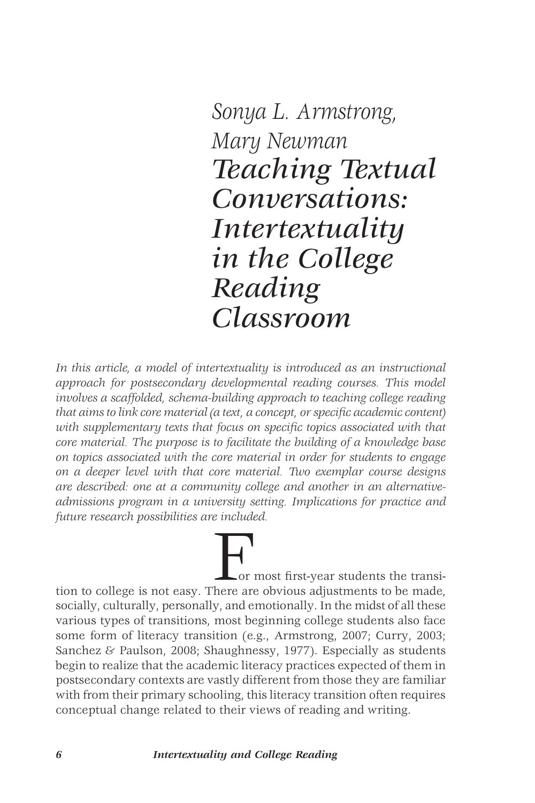*Sonya L. Armstrong, Mary Newman Teaching Textual Conversations: Intertextuality in the College Reading Classroom*

In this article, a model of intertextuality is introduced as an instructional *approach for postsecondary developmental reading courses. This model involves a scaffolded, schema-building approach to teaching college reading that aims to link core material (a text, a concept, or specific academic content)*  with supplementary texts that focus on specific topics associated with that *core material. The purpose is to facilitate the building of a knowledge base on topics associated with the core material in order for students to engage on a deeper level with that core material. Two exemplar course designs are described: one at a community college and another in an alternativeadmissions program in a university setting. Implications for practice and future research possibilities are included.*

For most first-year students the transition to college is not easy. There are obvious adjustments to be made, socially, culturally, personally, and emotionally. In the midst of all these various types of transitions, most beginning college students also face some form of literacy transition (e.g., Armstrong, 2007; Curry, 2003; Sanchez & Paulson, 2008; Shaughnessy, 1977). Especially as students begin to realize that the academic literacy practices expected of them in postsecondary contexts are vastly different from those they are familiar with from their primary schooling, this literacy transition often requires conceptual change related to their views of reading and writing.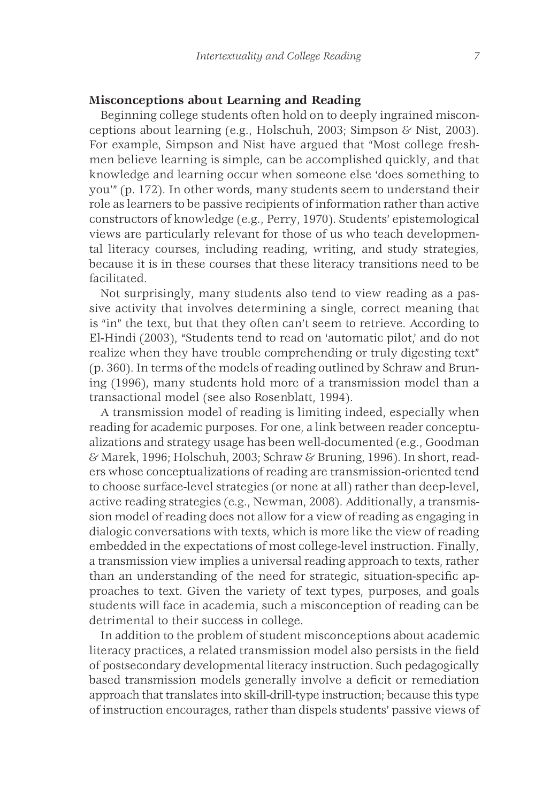### **Misconceptions about Learning and Reading**

Beginning college students often hold on to deeply ingrained misconceptions about learning (e.g., Holschuh, 2003; Simpson & Nist, 2003). For example, Simpson and Nist have argued that "Most college freshmen believe learning is simple, can be accomplished quickly, and that knowledge and learning occur when someone else 'does something to you'" (p. 172). In other words, many students seem to understand their role as learners to be passive recipients of information rather than active constructors of knowledge (e.g., Perry, 1970). Students' epistemological views are particularly relevant for those of us who teach developmental literacy courses, including reading, writing, and study strategies, because it is in these courses that these literacy transitions need to be facilitated.

Not surprisingly, many students also tend to view reading as a passive activity that involves determining a single, correct meaning that is "in" the text, but that they often can't seem to retrieve. According to El-Hindi (2003), "Students tend to read on 'automatic pilot,' and do not realize when they have trouble comprehending or truly digesting text" (p. 360). In terms of the models of reading outlined by Schraw and Bruning (1996), many students hold more of a transmission model than a transactional model (see also Rosenblatt, 1994).

A transmission model of reading is limiting indeed, especially when reading for academic purposes. For one, a link between reader conceptualizations and strategy usage has been well-documented (e.g., Goodman & Marek, 1996; Holschuh, 2003; Schraw & Bruning, 1996). In short, readers whose conceptualizations of reading are transmission-oriented tend to choose surface-level strategies (or none at all) rather than deep-level, active reading strategies (e.g., Newman, 2008). Additionally, a transmission model of reading does not allow for a view of reading as engaging in dialogic conversations with texts, which is more like the view of reading embedded in the expectations of most college-level instruction. Finally, a transmission view implies a universal reading approach to texts, rather than an understanding of the need for strategic, situation-specific approaches to text. Given the variety of text types, purposes, and goals students will face in academia, such a misconception of reading can be detrimental to their success in college.

In addition to the problem of student misconceptions about academic literacy practices, a related transmission model also persists in the field of postsecondary developmental literacy instruction. Such pedagogically based transmission models generally involve a deficit or remediation approach that translates into skill-drill-type instruction; because this type of instruction encourages, rather than dispels students' passive views of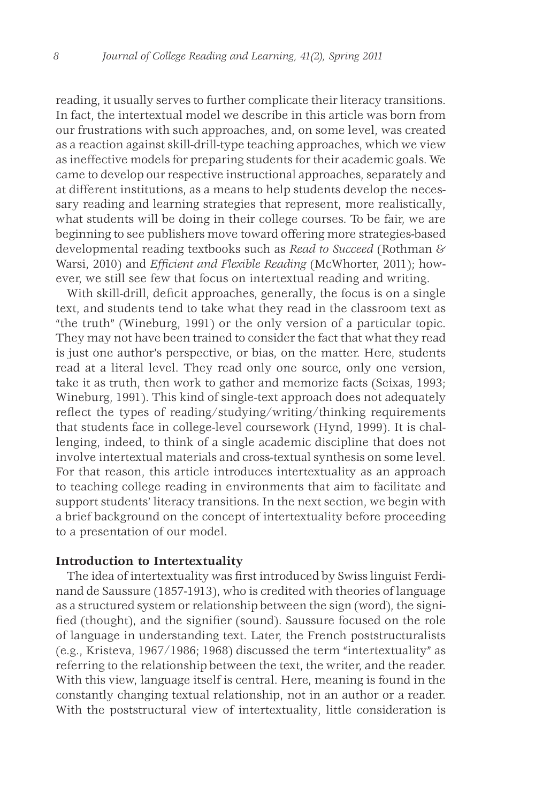reading, it usually serves to further complicate their literacy transitions. In fact, the intertextual model we describe in this article was born from our frustrations with such approaches, and, on some level, was created as a reaction against skill-drill-type teaching approaches, which we view as ineffective models for preparing students for their academic goals. We came to develop our respective instructional approaches, separately and at different institutions, as a means to help students develop the necessary reading and learning strategies that represent, more realistically, what students will be doing in their college courses. To be fair, we are beginning to see publishers move toward offering more strategies-based developmental reading textbooks such as *Read to Succeed* (Rothman & Warsi, 2010) and *Efficient and Flexible Reading* (McWhorter, 2011); however, we still see few that focus on intertextual reading and writing.

With skill-drill, deficit approaches, generally, the focus is on a single text, and students tend to take what they read in the classroom text as "the truth" (Wineburg, 1991) or the only version of a particular topic. They may not have been trained to consider the fact that what they read is just one author's perspective, or bias, on the matter. Here, students read at a literal level. They read only one source, only one version, take it as truth, then work to gather and memorize facts (Seixas, 1993; Wineburg, 1991). This kind of single-text approach does not adequately reflect the types of reading/studying/writing/thinking requirements that students face in college-level coursework (Hynd, 1999). It is challenging, indeed, to think of a single academic discipline that does not involve intertextual materials and cross-textual synthesis on some level. For that reason, this article introduces intertextuality as an approach to teaching college reading in environments that aim to facilitate and support students' literacy transitions. In the next section, we begin with a brief background on the concept of intertextuality before proceeding to a presentation of our model.

### **Introduction to Intertextuality**

The idea of intertextuality was first introduced by Swiss linguist Ferdinand de Saussure (1857-1913), who is credited with theories of language as a structured system or relationship between the sign (word), the signified (thought), and the signifier (sound). Saussure focused on the role of language in understanding text. Later, the French poststructuralists (e.g., Kristeva, 1967/1986; 1968) discussed the term "intertextuality" as referring to the relationship between the text, the writer, and the reader. With this view, language itself is central. Here, meaning is found in the constantly changing textual relationship, not in an author or a reader. With the poststructural view of intertextuality, little consideration is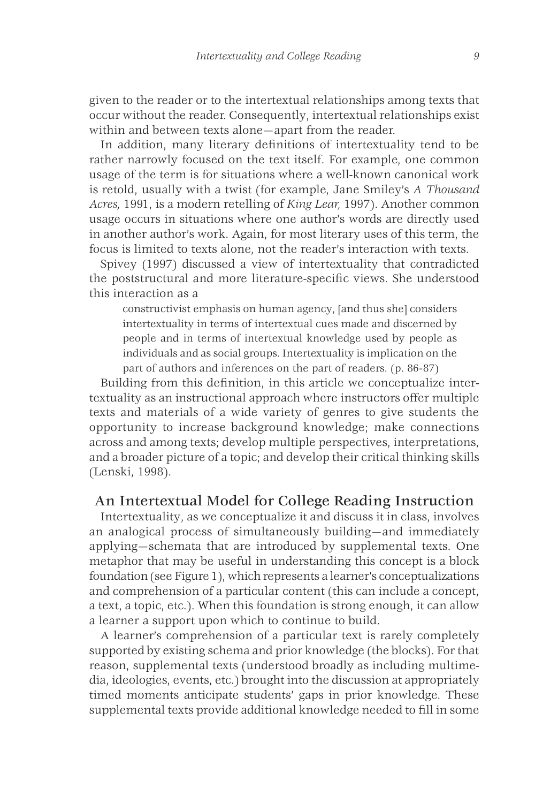given to the reader or to the intertextual relationships among texts that occur without the reader. Consequently, intertextual relationships exist within and between texts alone—apart from the reader.

In addition, many literary definitions of intertextuality tend to be rather narrowly focused on the text itself. For example, one common usage of the term is for situations where a well-known canonical work is retold, usually with a twist (for example, Jane Smiley's *A Thousand Acres,* 1991, is a modern retelling of *King Lear,* 1997). Another common usage occurs in situations where one author's words are directly used in another author's work. Again, for most literary uses of this term, the focus is limited to texts alone, not the reader's interaction with texts.

Spivey (1997) discussed a view of intertextuality that contradicted the poststructural and more literature-specific views. She understood this interaction as a

 constructivist emphasis on human agency, [and thus she] considers intertextuality in terms of intertextual cues made and discerned by people and in terms of intertextual knowledge used by people as individuals and as social groups. Intertextuality is implication on the part of authors and inferences on the part of readers. (p. 86-87)

Building from this definition, in this article we conceptualize intertextuality as an instructional approach where instructors offer multiple texts and materials of a wide variety of genres to give students the opportunity to increase background knowledge; make connections across and among texts; develop multiple perspectives, interpretations, and a broader picture of a topic; and develop their critical thinking skills (Lenski, 1998).

# An Intertextual Model for College Reading Instruction

Intertextuality, as we conceptualize it and discuss it in class, involves an analogical process of simultaneously building—and immediately applying—schemata that are introduced by supplemental texts. One metaphor that may be useful in understanding this concept is a block foundation (see Figure 1), which represents a learner's conceptualizations and comprehension of a particular content (this can include a concept, a text, a topic, etc.). When this foundation is strong enough, it can allow a learner a support upon which to continue to build.

A learner's comprehension of a particular text is rarely completely supported by existing schema and prior knowledge (the blocks). For that reason, supplemental texts (understood broadly as including multimedia, ideologies, events, etc.) brought into the discussion at appropriately timed moments anticipate students' gaps in prior knowledge. These supplemental texts provide additional knowledge needed to fill in some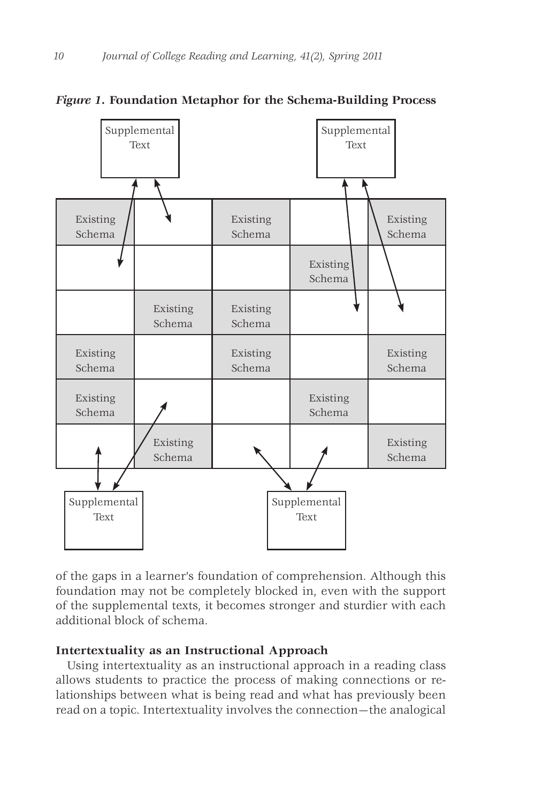

### *Figure 1.* **Foundation Metaphor for the Schema-Building Process**

of the gaps in a learner's foundation of comprehension. Although this foundation may not be completely blocked in, even with the support of the supplemental texts, it becomes stronger and sturdier with each additional block of schema.

## **Intertextuality as an Instructional Approach**

Using intertextuality as an instructional approach in a reading class allows students to practice the process of making connections or relationships between what is being read and what has previously been read on a topic. Intertextuality involves the connection—the analogical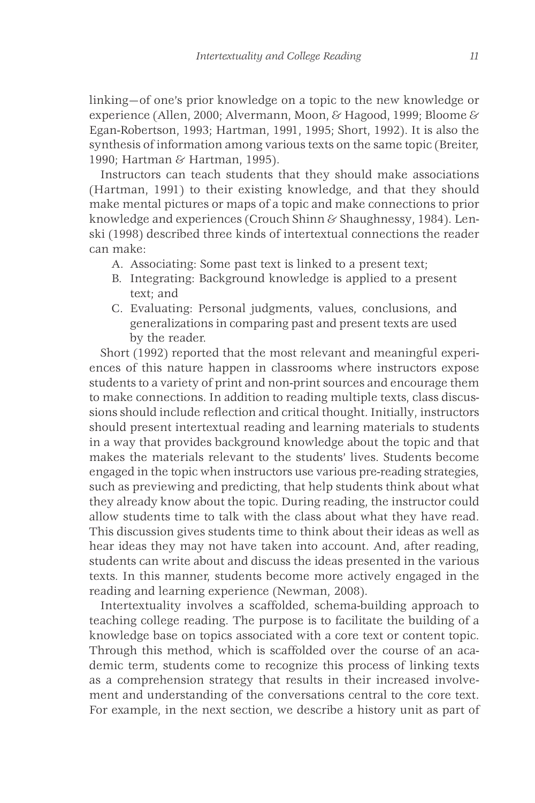linking—of one's prior knowledge on a topic to the new knowledge or experience (Allen, 2000; Alvermann, Moon, & Hagood, 1999; Bloome & Egan-Robertson, 1993; Hartman, 1991, 1995; Short, 1992). It is also the synthesis of information among various texts on the same topic (Breiter, 1990; Hartman & Hartman, 1995).

Instructors can teach students that they should make associations (Hartman, 1991) to their existing knowledge, and that they should make mental pictures or maps of a topic and make connections to prior knowledge and experiences (Crouch Shinn & Shaughnessy, 1984). Lenski (1998) described three kinds of intertextual connections the reader can make:

- A. Associating: Some past text is linked to a present text;
- B. Integrating: Background knowledge is applied to a present text; and
- C. Evaluating: Personal judgments, values, conclusions, and generalizations in comparing past and present texts are used by the reader.

Short (1992) reported that the most relevant and meaningful experiences of this nature happen in classrooms where instructors expose students to a variety of print and non-print sources and encourage them to make connections. In addition to reading multiple texts, class discussions should include reflection and critical thought. Initially, instructors should present intertextual reading and learning materials to students in a way that provides background knowledge about the topic and that makes the materials relevant to the students' lives. Students become engaged in the topic when instructors use various pre-reading strategies, such as previewing and predicting, that help students think about what they already know about the topic. During reading, the instructor could allow students time to talk with the class about what they have read. This discussion gives students time to think about their ideas as well as hear ideas they may not have taken into account. And, after reading, students can write about and discuss the ideas presented in the various texts. In this manner, students become more actively engaged in the reading and learning experience (Newman, 2008).

Intertextuality involves a scaffolded, schema-building approach to teaching college reading. The purpose is to facilitate the building of a knowledge base on topics associated with a core text or content topic. Through this method, which is scaffolded over the course of an academic term, students come to recognize this process of linking texts as a comprehension strategy that results in their increased involvement and understanding of the conversations central to the core text. For example, in the next section, we describe a history unit as part of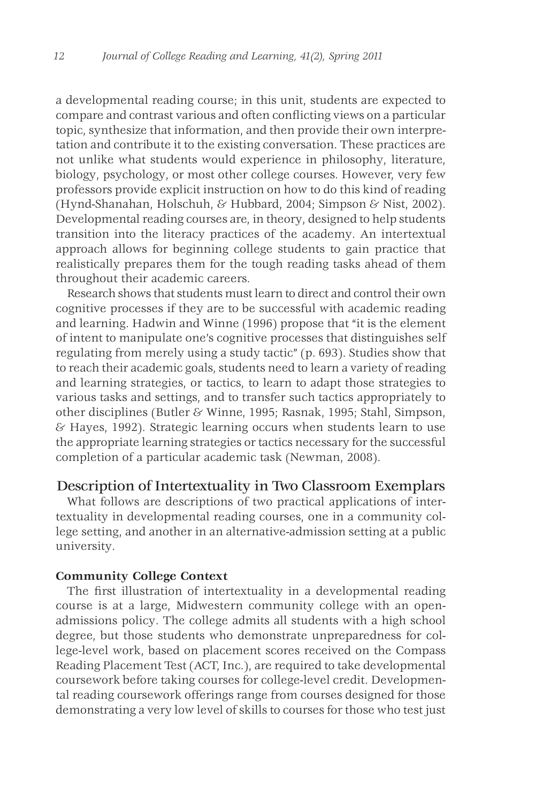a developmental reading course; in this unit, students are expected to compare and contrast various and often conflicting views on a particular topic, synthesize that information, and then provide their own interpretation and contribute it to the existing conversation. These practices are not unlike what students would experience in philosophy, literature, biology, psychology, or most other college courses. However, very few professors provide explicit instruction on how to do this kind of reading (Hynd-Shanahan, Holschuh, & Hubbard, 2004; Simpson & Nist, 2002). Developmental reading courses are, in theory, designed to help students transition into the literacy practices of the academy. An intertextual approach allows for beginning college students to gain practice that realistically prepares them for the tough reading tasks ahead of them throughout their academic careers.

Research shows that students must learn to direct and control their own cognitive processes if they are to be successful with academic reading and learning. Hadwin and Winne (1996) propose that "it is the element of intent to manipulate one's cognitive processes that distinguishes self regulating from merely using a study tactic" (p. 693). Studies show that to reach their academic goals, students need to learn a variety of reading and learning strategies, or tactics, to learn to adapt those strategies to various tasks and settings, and to transfer such tactics appropriately to other disciplines (Butler & Winne, 1995; Rasnak, 1995; Stahl, Simpson, & Hayes, 1992). Strategic learning occurs when students learn to use the appropriate learning strategies or tactics necessary for the successful completion of a particular academic task (Newman, 2008).

### Description of Intertextuality in Two Classroom Exemplars

What follows are descriptions of two practical applications of intertextuality in developmental reading courses, one in a community college setting, and another in an alternative-admission setting at a public university.

### **Community College Context**

The first illustration of intertextuality in a developmental reading course is at a large, Midwestern community college with an openadmissions policy. The college admits all students with a high school degree, but those students who demonstrate unpreparedness for college-level work, based on placement scores received on the Compass Reading Placement Test (ACT, Inc.), are required to take developmental coursework before taking courses for college-level credit. Developmental reading coursework offerings range from courses designed for those demonstrating a very low level of skills to courses for those who test just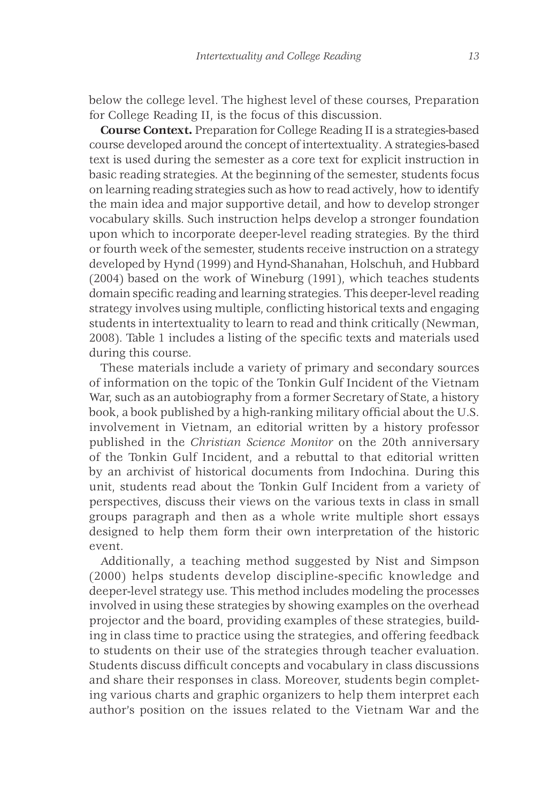below the college level. The highest level of these courses, Preparation for College Reading II, is the focus of this discussion.

**Course Context.** Preparation for College Reading II is a strategies-based course developed around the concept of intertextuality. A strategies-based text is used during the semester as a core text for explicit instruction in basic reading strategies. At the beginning of the semester, students focus on learning reading strategies such as how to read actively, how to identify the main idea and major supportive detail, and how to develop stronger vocabulary skills. Such instruction helps develop a stronger foundation upon which to incorporate deeper-level reading strategies. By the third or fourth week of the semester, students receive instruction on a strategy developed by Hynd (1999) and Hynd-Shanahan, Holschuh, and Hubbard (2004) based on the work of Wineburg (1991), which teaches students domain specific reading and learning strategies. This deeper-level reading strategy involves using multiple, conflicting historical texts and engaging students in intertextuality to learn to read and think critically (Newman, 2008). Table 1 includes a listing of the specific texts and materials used during this course.

These materials include a variety of primary and secondary sources of information on the topic of the Tonkin Gulf Incident of the Vietnam War, such as an autobiography from a former Secretary of State, a history book, a book published by a high-ranking military official about the U.S. involvement in Vietnam, an editorial written by a history professor published in the *Christian Science Monitor* on the 20th anniversary of the Tonkin Gulf Incident, and a rebuttal to that editorial written by an archivist of historical documents from Indochina. During this unit, students read about the Tonkin Gulf Incident from a variety of perspectives, discuss their views on the various texts in class in small groups paragraph and then as a whole write multiple short essays designed to help them form their own interpretation of the historic event.

Additionally, a teaching method suggested by Nist and Simpson (2000) helps students develop discipline-specific knowledge and deeper-level strategy use. This method includes modeling the processes involved in using these strategies by showing examples on the overhead projector and the board, providing examples of these strategies, building in class time to practice using the strategies, and offering feedback to students on their use of the strategies through teacher evaluation. Students discuss difficult concepts and vocabulary in class discussions and share their responses in class. Moreover, students begin completing various charts and graphic organizers to help them interpret each author's position on the issues related to the Vietnam War and the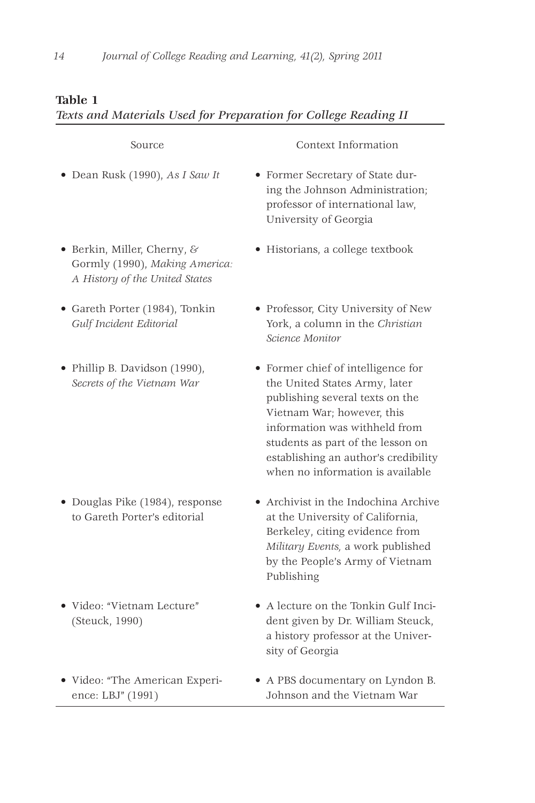## **Table 1**

# *Texts and Materials Used for Preparation for College Reading II*

| Source                                                                                          | Context Information                                                                                                                                                                                                                                                                    |
|-------------------------------------------------------------------------------------------------|----------------------------------------------------------------------------------------------------------------------------------------------------------------------------------------------------------------------------------------------------------------------------------------|
| · Dean Rusk (1990), As I Saw It                                                                 | • Former Secretary of State dur-<br>ing the Johnson Administration;<br>professor of international law,<br>University of Georgia                                                                                                                                                        |
| • Berkin, Miller, Cherny, &<br>Gormly (1990), Making America:<br>A History of the United States | · Historians, a college textbook                                                                                                                                                                                                                                                       |
| • Gareth Porter (1984), Tonkin<br>Gulf Incident Editorial                                       | • Professor, City University of New<br>York, a column in the Christian<br>Science Monitor                                                                                                                                                                                              |
| • Phillip B. Davidson (1990),<br>Secrets of the Vietnam War                                     | • Former chief of intelligence for<br>the United States Army, later<br>publishing several texts on the<br>Vietnam War; however, this<br>information was withheld from<br>students as part of the lesson on<br>establishing an author's credibility<br>when no information is available |
| • Douglas Pike (1984), response<br>to Gareth Porter's editorial                                 | • Archivist in the Indochina Archive<br>at the University of California,<br>Berkeley, citing evidence from<br>Military Events, a work published<br>by the People's Army of Vietnam<br>Publishing                                                                                       |
| • Video: "Vietnam Lecture"<br>(Steuck, 1990)                                                    | • A lecture on the Tonkin Gulf Inci-<br>dent given by Dr. William Steuck,<br>a history professor at the Univer-<br>sity of Georgia                                                                                                                                                     |
| • Video: "The American Experi-<br>ence: LBJ" (1991)                                             | • A PBS documentary on Lyndon B.<br>Johnson and the Vietnam War                                                                                                                                                                                                                        |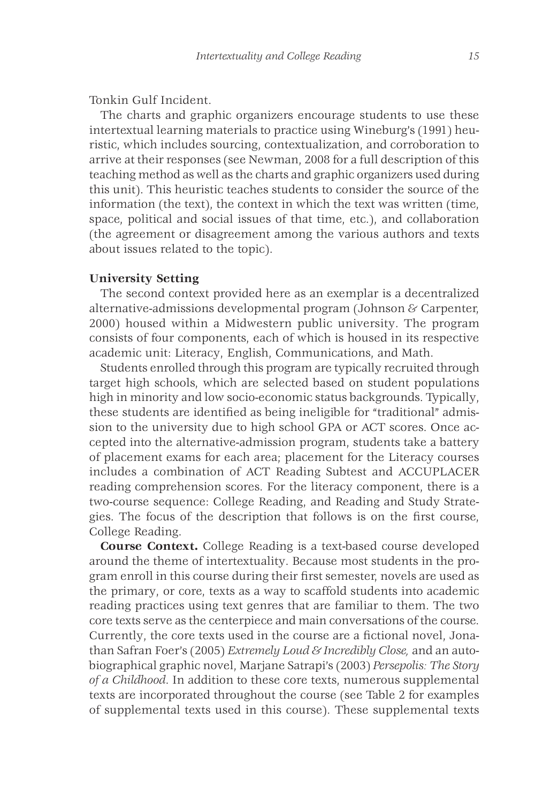Tonkin Gulf Incident.

The charts and graphic organizers encourage students to use these intertextual learning materials to practice using Wineburg's (1991) heuristic, which includes sourcing, contextualization, and corroboration to arrive at their responses (see Newman, 2008 for a full description of this teaching method as well as the charts and graphic organizers used during this unit). This heuristic teaches students to consider the source of the information (the text), the context in which the text was written (time, space, political and social issues of that time, etc.), and collaboration (the agreement or disagreement among the various authors and texts about issues related to the topic).

### **University Setting**

The second context provided here as an exemplar is a decentralized alternative-admissions developmental program (Johnson & Carpenter, 2000) housed within a Midwestern public university. The program consists of four components, each of which is housed in its respective academic unit: Literacy, English, Communications, and Math.

Students enrolled through this program are typically recruited through target high schools, which are selected based on student populations high in minority and low socio-economic status backgrounds. Typically, these students are identified as being ineligible for "traditional" admission to the university due to high school GPA or ACT scores. Once accepted into the alternative-admission program, students take a battery of placement exams for each area; placement for the Literacy courses includes a combination of ACT Reading Subtest and ACCUPLACER reading comprehension scores. For the literacy component, there is a two-course sequence: College Reading, and Reading and Study Strategies. The focus of the description that follows is on the first course, College Reading.

**Course Context.** College Reading is a text-based course developed around the theme of intertextuality. Because most students in the program enroll in this course during their first semester, novels are used as the primary, or core, texts as a way to scaffold students into academic reading practices using text genres that are familiar to them. The two core texts serve as the centerpiece and main conversations of the course. Currently, the core texts used in the course are a fictional novel, Jonathan Safran Foer's (2005) *Extremely Loud & Incredibly Close,* and an autobiographical graphic novel, Marjane Satrapi's (2003) *Persepolis: The Story of a Childhood*. In addition to these core texts, numerous supplemental texts are incorporated throughout the course (see Table 2 for examples of supplemental texts used in this course). These supplemental texts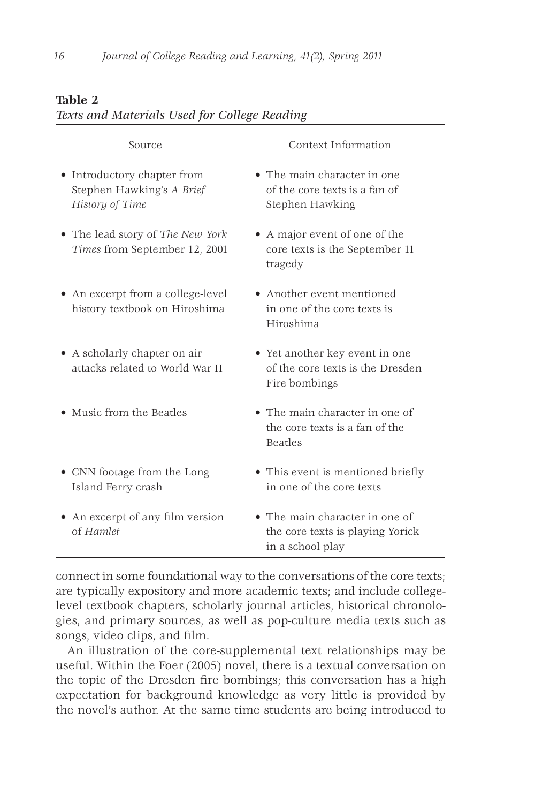| Source                                                                      | Context Information                                                                        |
|-----------------------------------------------------------------------------|--------------------------------------------------------------------------------------------|
| • Introductory chapter from<br>Stephen Hawking's A Brief<br>History of Time | • The main character in one<br>of the core texts is a fan of<br>Stephen Hawking            |
| • The lead story of The New York<br>Times from September 12, 2001           | • A major event of one of the<br>core texts is the September 11<br>tragedy                 |
| • An excerpt from a college-level<br>history textbook on Hiroshima          | • Another event mentioned<br>in one of the core texts is<br>Hiroshima                      |
| • A scholarly chapter on air<br>attacks related to World War II             | • Yet another key event in one<br>of the core texts is the Dresden<br>Fire bombings        |
| Music from the Beatles                                                      | $\bullet$ The main character in one of<br>the core texts is a fan of the<br><b>Beatles</b> |
| • CNN footage from the Long<br>Island Ferry crash                           | • This event is mentioned briefly<br>in one of the core texts                              |
| • An excerpt of any film version<br>of Hamlet                               | • The main character in one of<br>the core texts is playing Yorick<br>in a school play     |

### **Table 2**

# *Texts and Materials Used for College Reading*

connect in some foundational way to the conversations of the core texts; are typically expository and more academic texts; and include collegelevel textbook chapters, scholarly journal articles, historical chronologies, and primary sources, as well as pop-culture media texts such as songs, video clips, and film.

An illustration of the core-supplemental text relationships may be useful. Within the Foer (2005) novel, there is a textual conversation on the topic of the Dresden fire bombings; this conversation has a high expectation for background knowledge as very little is provided by the novel's author. At the same time students are being introduced to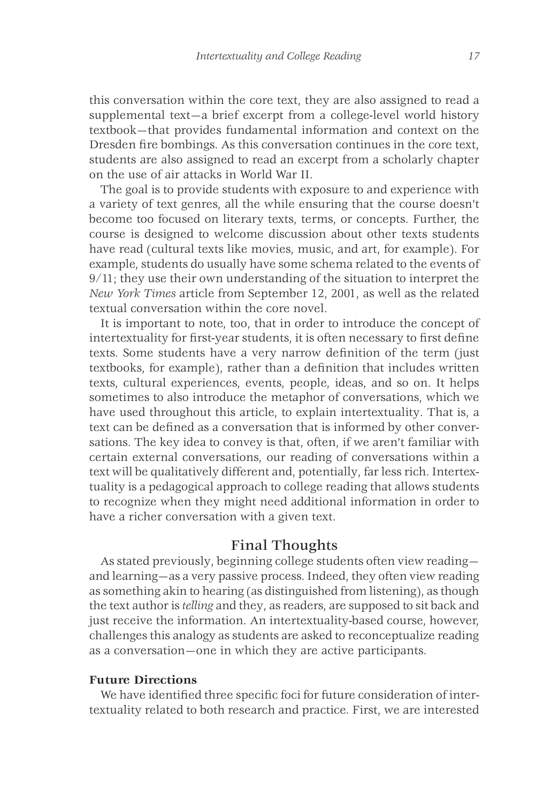this conversation within the core text, they are also assigned to read a supplemental text—a brief excerpt from a college-level world history textbook—that provides fundamental information and context on the Dresden fire bombings. As this conversation continues in the core text, students are also assigned to read an excerpt from a scholarly chapter on the use of air attacks in World War II.

The goal is to provide students with exposure to and experience with a variety of text genres, all the while ensuring that the course doesn't become too focused on literary texts, terms, or concepts. Further, the course is designed to welcome discussion about other texts students have read (cultural texts like movies, music, and art, for example). For example, students do usually have some schema related to the events of 9/11; they use their own understanding of the situation to interpret the *New York Times* article from September 12, 2001, as well as the related textual conversation within the core novel.

It is important to note, too, that in order to introduce the concept of intertextuality for first-year students, it is often necessary to first define texts. Some students have a very narrow definition of the term (just textbooks, for example), rather than a definition that includes written texts, cultural experiences, events, people, ideas, and so on. It helps sometimes to also introduce the metaphor of conversations, which we have used throughout this article, to explain intertextuality. That is, a text can be defined as a conversation that is informed by other conversations. The key idea to convey is that, often, if we aren't familiar with certain external conversations, our reading of conversations within a text will be qualitatively different and, potentially, far less rich. Intertextuality is a pedagogical approach to college reading that allows students to recognize when they might need additional information in order to have a richer conversation with a given text.

# Final Thoughts

As stated previously, beginning college students often view reading and learning—as a very passive process. Indeed, they often view reading as something akin to hearing (as distinguished from listening), as though the text author is *telling* and they, as readers, are supposed to sit back and just receive the information. An intertextuality-based course, however, challenges this analogy as students are asked to reconceptualize reading as a conversation—one in which they are active participants.

## **Future Directions**

We have identified three specific foci for future consideration of intertextuality related to both research and practice. First, we are interested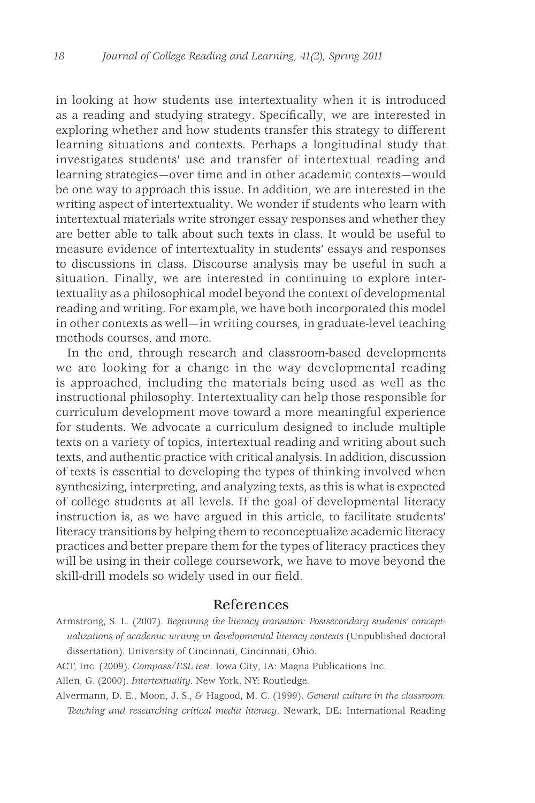in looking at how students use intertextuality when it is introduced as a reading and studying strategy. Specifically, we are interested in exploring whether and how students transfer this strategy to different learning situations and contexts. Perhaps a longitudinal study that investigates students' use and transfer of intertextual reading and learning strategies—over time and in other academic contexts—would be one way to approach this issue. In addition, we are interested in the writing aspect of intertextuality. We wonder if students who learn with intertextual materials write stronger essay responses and whether they are better able to talk about such texts in class. It would be useful to measure evidence of intertextuality in students' essays and responses to discussions in class. Discourse analysis may be useful in such a situation. Finally, we are interested in continuing to explore intertextuality as a philosophical model beyond the context of developmental reading and writing. For example, we have both incorporated this model in other contexts as well—in writing courses, in graduate-level teaching methods courses, and more.

In the end, through research and classroom-based developments we are looking for a change in the way developmental reading is approached, including the materials being used as well as the instructional philosophy. Intertextuality can help those responsible for curriculum development move toward a more meaningful experience for students. We advocate a curriculum designed to include multiple texts on a variety of topics, intertextual reading and writing about such texts, and authentic practice with critical analysis. In addition, discussion of texts is essential to developing the types of thinking involved when synthesizing, interpreting, and analyzing texts, as this is what is expected of college students at all levels. If the goal of developmental literacy instruction is, as we have argued in this article, to facilitate students' literacy transitions by helping them to reconceptualize academic literacy practices and better prepare them for the types of literacy practices they will be using in their college coursework, we have to move beyond the skill-drill models so widely used in our field.

### References

- Armstrong, S. L. (2007). *Beginning the literacy transition: Postsecondary students' conceptualizations of academic writing in developmental literacy contexts* (Unpublished doctoral dissertation). University of Cincinnati, Cincinnati, Ohio.
- ACT, Inc. (2009). *Compass/ESL test*. Iowa City, IA: Magna Publications Inc.
- Allen, G. (2000). *Intertextuality*. New York, NY: Routledge.
- Alvermann, D. E., Moon, J. S., & Hagood, M. C. (1999). *General culture in the classroom: Teaching and researching critical media literacy*. Newark, DE: International Reading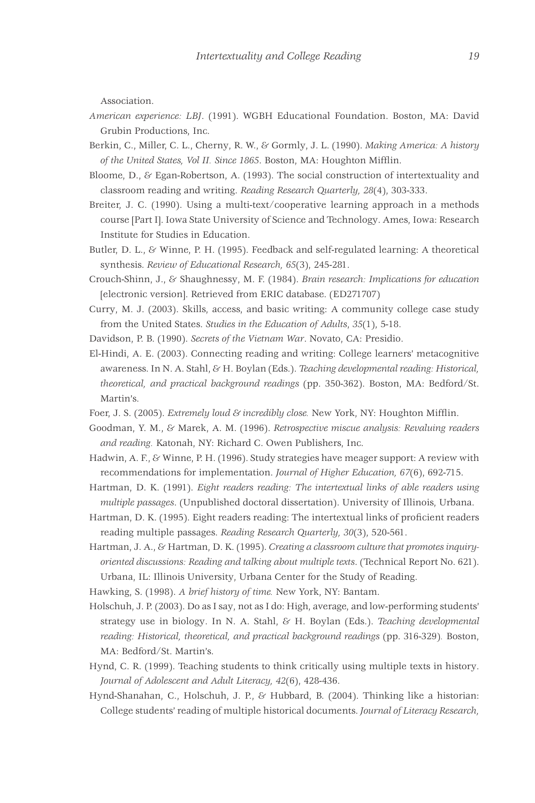Association.

- *American experience: LBJ*. (1991). WGBH Educational Foundation. Boston, MA: David Grubin Productions, Inc.
- Berkin, C., Miller, C. L., Cherny, R. W., & Gormly, J. L. (1990). *Making America: A history of the United States, Vol II. Since 1865*. Boston, MA: Houghton Mifflin.
- Bloome, D., & Egan-Robertson, A. (1993). The social construction of intertextuality and classroom reading and writing. *Reading Research Quarterly, 28*(4), 303-333.
- Breiter, J. C. (1990). Using a multi-text/cooperative learning approach in a methods course [Part I]. Iowa State University of Science and Technology. Ames, Iowa: Research Institute for Studies in Education.
- Butler, D. L., & Winne, P. H. (1995). Feedback and self-regulated learning: A theoretical synthesis. *Review of Educational Research, 65*(3), 245-281.
- Crouch-Shinn, J., & Shaughnessy, M. F. (1984). *Brain research: Implications for education* [electronic version]. Retrieved from ERIC database. (ED271707)
- Curry, M. J. (2003). Skills, access, and basic writing: A community college case study from the United States. *Studies in the Education of Adults*, *35*(1), 5-18.
- Davidson, P. B. (1990). *Secrets of the Vietnam War*. Novato, CA: Presidio.
- El-Hindi, A. E. (2003). Connecting reading and writing: College learners' metacognitive awareness. In N. A. Stahl, & H. Boylan (Eds.). *Teaching developmental reading: Historical, theoretical, and practical background readings* (pp. 350-362). Boston, MA: Bedford/St. Martin's.
- Foer, J. S. (2005). *Extremely loud & incredibly close.* New York, NY: Houghton Mifflin.
- Goodman, Y. M., & Marek, A. M. (1996). *Retrospective miscue analysis: Revaluing readers and reading.* Katonah, NY: Richard C. Owen Publishers, Inc.
- Hadwin, A. F., & Winne, P. H. (1996). Study strategies have meager support: A review with recommendations for implementation. *Journal of Higher Education, 67*(6), 692-715.
- Hartman, D. K. (1991). *Eight readers reading: The intertextual links of able readers using multiple passages*. (Unpublished doctoral dissertation). University of Illinois, Urbana.
- Hartman, D. K. (1995). Eight readers reading: The intertextual links of proficient readers reading multiple passages. *Reading Research Quarterly, 30*(3), 520-561.
- Hartman, J. A., & Hartman, D. K. (1995). *Creating a classroom culture that promotes inquiryoriented discussions: Reading and talking about multiple texts*. (Technical Report No. 621). Urbana, IL: Illinois University, Urbana Center for the Study of Reading.
- Hawking, S. (1998). *A brief history of time.* New York, NY: Bantam.
- Holschuh, J. P. (2003). Do as I say, not as I do: High, average, and low-performing students' strategy use in biology. In N. A. Stahl, & H. Boylan (Eds.). *Teaching developmental reading: Historical, theoretical, and practical background readings (pp. 316-329). Boston,* MA: Bedford/St. Martin's.
- Hynd, C. R. (1999). Teaching students to think critically using multiple texts in history. *Journal of Adolescent and Adult Literacy, 42*(6), 428-436.
- Hynd-Shanahan, C., Holschuh, J. P., & Hubbard, B. (2004). Thinking like a historian: College students' reading of multiple historical documents. *Journal of Literacy Research,*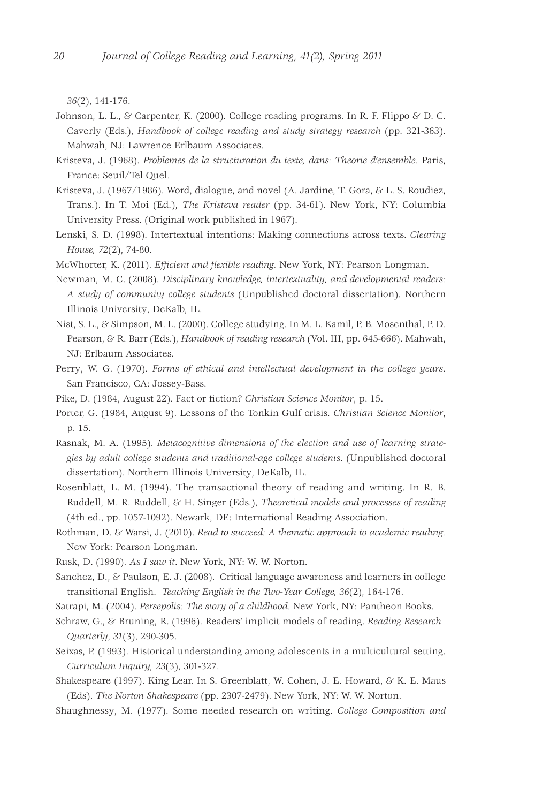*36*(2), 141-176.

- Johnson, L. L., & Carpenter, K. (2000). College reading programs. In R. F. Flippo & D. C. Caverly (Eds.), *Handbook of college reading and study strategy research* (pp. 321-363). Mahwah, NJ: Lawrence Erlbaum Associates.
- Kristeva, J. (1968). *Problemes de la structuration du texte, dans: Theorie d'ensemble*. Paris, France: Seuil/Tel Quel.
- Kristeva, J. (1967/1986). Word, dialogue, and novel (A. Jardine, T. Gora, & L. S. Roudiez, Trans.). In T. Moi (Ed.), *The Kristeva reader* (pp. 34-61). New York, NY: Columbia University Press. (Original work published in 1967).
- Lenski, S. D. (1998). Intertextual intentions: Making connections across texts. *Clearing House, 72*(2), 74-80.
- McWhorter, K. (2011). *Efficient and flexible reading.* New York, NY: Pearson Longman.
- Newman, M. C. (2008). *Disciplinary knowledge, intertextuality, and developmental readers: A study of community college students* (Unpublished doctoral dissertation). Northern Illinois University, DeKalb, IL.
- Nist, S. L., & Simpson, M. L. (2000). College studying. In M. L. Kamil, P. B. Mosenthal, P. D. Pearson, & R. Barr (Eds.), *Handbook of reading research* (Vol. III, pp. 645-666). Mahwah, NJ: Erlbaum Associates.
- Perry, W. G. (1970). *Forms of ethical and intellectual development in the college years*. San Francisco, CA: Jossey-Bass.
- Pike, D. (1984, August 22). Fact or fiction? *Christian Science Monitor*, p. 15.
- Porter, G. (1984, August 9). Lessons of the Tonkin Gulf crisis. *Christian Science Monitor*, p. 15.
- Rasnak, M. A. (1995). *Metacognitive dimensions of the election and use of learning strategies by adult college students and traditional-age college students*. (Unpublished doctoral dissertation). Northern Illinois University, DeKalb, IL.
- Rosenblatt, L. M. (1994). The transactional theory of reading and writing. In R. B. Ruddell, M. R. Ruddell, & H. Singer (Eds.), *Theoretical models and processes of reading* (4th ed., pp. 1057-1092). Newark, DE: International Reading Association.
- Rothman, D. & Warsi, J. (2010). *Read to succeed: A thematic approach to academic reading.* New York: Pearson Longman.
- Rusk, D. (1990). *As I saw it*. New York, NY: W. W. Norton.
- Sanchez, D., & Paulson, E. J. (2008). Critical language awareness and learners in college transitional English. *Teaching English in the Two-Year College, 36*(2), 164-176.
- Satrapi, M. (2004). *Persepolis: The story of a childhood.* New York, NY: Pantheon Books.
- Schraw, G., & Bruning, R. (1996). Readers' implicit models of reading. *Reading Research Quarterly*, *31*(3), 290-305.
- Seixas, P. (1993). Historical understanding among adolescents in a multicultural setting. *Curriculum Inquiry, 23*(3), 301-327.
- Shakespeare (1997). King Lear. In S. Greenblatt, W. Cohen, J. E. Howard, & K. E. Maus (Eds). *The Norton Shakespeare* (pp. 2307-2479). New York, NY: W. W. Norton.
- Shaughnessy, M. (1977). Some needed research on writing. *College Composition and*